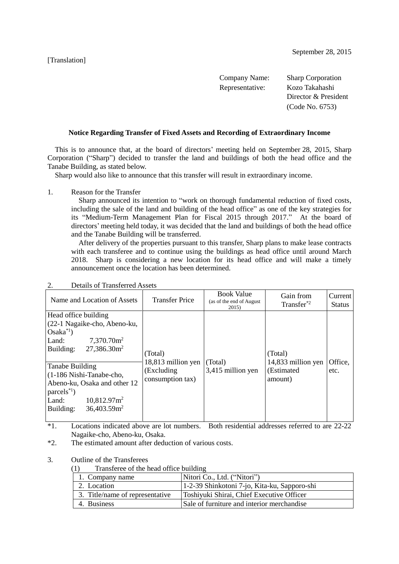#### [Translation]

| Company Name:   | <b>Sharp Corporation</b> |
|-----------------|--------------------------|
| Representative: | Kozo Takahashi           |
|                 | Director & President     |
|                 | (Code No. 6753)          |
|                 |                          |

### **Notice Regarding Transfer of Fixed Assets and Recording of Extraordinary Income**

 This is to announce that, at the board of directors' meeting held on September 28, 2015, Sharp Corporation ("Sharp") decided to transfer the land and buildings of both the head office and the Tanabe Building, as stated below.

Sharp would also like to announce that this transfer will result in extraordinary income.

1. Reason for the Transfer

 Sharp announced its intention to "work on thorough fundamental reduction of fixed costs, including the sale of the land and building of the head office" as one of the key strategies for its "Medium-Term Management Plan for Fiscal 2015 through 2017." At the board of directors' meeting held today, it was decided that the land and buildings of both the head office and the Tanabe Building will be transferred.

 After delivery of the properties pursuant to this transfer, Sharp plans to make lease contracts with each transferee and to continue using the buildings as head office until around March 2018. Sharp is considering a new location for its head office and will make a timely announcement once the location has been determined.

| Name and Location of Assets                                                                                                                                                            | <b>Transfer Price</b>          | <b>Book Value</b><br>(as of the end of August)<br>2015) | Gain from<br>Transfer <sup>*2</sup> | Current<br><b>Status</b> |
|----------------------------------------------------------------------------------------------------------------------------------------------------------------------------------------|--------------------------------|---------------------------------------------------------|-------------------------------------|--------------------------|
| Head office building<br>(22-1 Nagaike-cho, Abeno-ku,<br>$Osaka^{\ast 1}$<br>$7,370.70$ $m2$<br>Land:<br>$27,386.30$ $\text{m}^2$<br>Building:                                          | (Total)<br>18,813 million yen  | (Total)                                                 | (Total)<br>14,833 million yen       | Office,                  |
| Tanabe Building<br>(1-186 Nishi-Tanabe-cho,<br>Abeno-ku, Osaka and other 12<br>$\text{parcels}^{*1}$ )<br>$10,812.97$ $\text{m}^2$<br>Land:<br>$36,403.59$ m <sup>2</sup><br>Building: | (Excluding<br>consumption tax) | 3,415 million yen                                       | (Estimated<br>amount)               | etc.                     |

# 2. Details of Transferred Assets

\*1. Locations indicated above are lot numbers. Both residential addresses referred to are 22-22 Nagaike-cho, Abeno-ku, Osaka.

\*2. The estimated amount after deduction of various costs.

3. Outline of the Transferees

(1) Transferee of the head office building

| 1. Company name                 | Nitori Co., Ltd. ("Nitori")                  |
|---------------------------------|----------------------------------------------|
| 2. Location                     | 1-2-39 Shinkotoni 7-jo, Kita-ku, Sapporo-shi |
| 3. Title/name of representative | Toshiyuki Shirai, Chief Executive Officer    |
| 4. Business                     | Sale of furniture and interior merchandise   |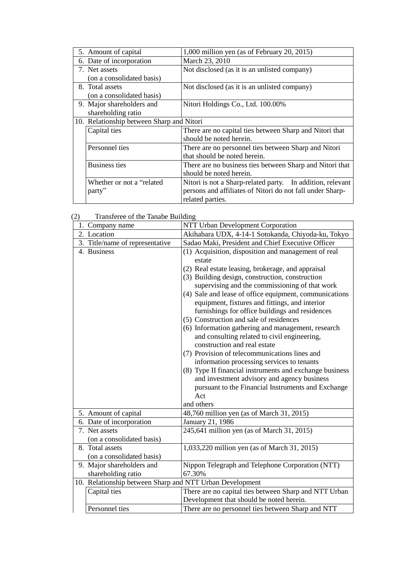| 5. Amount of capital                      | 1,000 million yen (as of February 20, 2015)                |
|-------------------------------------------|------------------------------------------------------------|
| 6. Date of incorporation                  | March 23, 2010                                             |
| 7. Net assets                             | Not disclosed (as it is an unlisted company)               |
| (on a consolidated basis)                 |                                                            |
| 8. Total assets                           | Not disclosed (as it is an unlisted company)               |
| (on a consolidated basis)                 |                                                            |
| 9. Major shareholders and                 | Nitori Holdings Co., Ltd. 100.00%                          |
| shareholding ratio                        |                                                            |
| 10. Relationship between Sharp and Nitori |                                                            |
| Capital ties                              | There are no capital ties between Sharp and Nitori that    |
|                                           | should be noted herein.                                    |
| Personnel ties                            | There are no personnel ties between Sharp and Nitori       |
|                                           | that should be noted herein.                               |
| <b>Business ties</b>                      | There are no business ties between Sharp and Nitori that   |
|                                           | should be noted herein.                                    |
| Whether or not a "related"                | Nitori is not a Sharp-related party. In addition, relevant |
| party <sup>??</sup>                       | persons and affiliates of Nitori do not fall under Sharp-  |
|                                           | related parties.                                           |

| Transferee of the Tanabe Building | (2) |
|-----------------------------------|-----|

| <b>Humstered</b> of the Tundoe Building<br>1. Company name | NTT Urban Development Corporation                       |
|------------------------------------------------------------|---------------------------------------------------------|
| 2. Location                                                | Akihabara UDX, 4-14-1 Sotokanda, Chiyoda-ku, Tokyo      |
| 3. Title/name of representative                            | Sadao Maki, President and Chief Executive Officer       |
| 4. Business                                                | (1) Acquisition, disposition and management of real     |
|                                                            | estate                                                  |
|                                                            |                                                         |
|                                                            | (2) Real estate leasing, brokerage, and appraisal       |
|                                                            | (3) Building design, construction, construction         |
|                                                            | supervising and the commissioning of that work          |
|                                                            | (4) Sale and lease of office equipment, communications  |
|                                                            | equipment, fixtures and fittings, and interior          |
|                                                            | furnishings for office buildings and residences         |
|                                                            | (5) Construction and sale of residences                 |
|                                                            | (6) Information gathering and management, research      |
|                                                            | and consulting related to civil engineering,            |
|                                                            | construction and real estate                            |
|                                                            | (7) Provision of telecommunications lines and           |
|                                                            | information processing services to tenants              |
|                                                            | (8) Type II financial instruments and exchange business |
|                                                            | and investment advisory and agency business             |
|                                                            | pursuant to the Financial Instruments and Exchange      |
|                                                            | Act                                                     |
|                                                            | and others                                              |
| 5. Amount of capital                                       | 48,760 million yen (as of March 31, 2015)               |
| 6. Date of incorporation                                   | January 21, 1986                                        |
| 7. Net assets                                              | 245,641 million yen (as of March 31, 2015)              |
| (on a consolidated basis)                                  |                                                         |
| 8. Total assets                                            | 1,033,220 million yen (as of March 31, 2015)            |
| (on a consolidated basis)                                  |                                                         |
| 9. Major shareholders and                                  | Nippon Telegraph and Telephone Corporation (NTT)        |
| shareholding ratio                                         | 67.30%                                                  |
| 10. Relationship between Sharp and NTT Urban Development   |                                                         |
| Capital ties                                               | There are no capital ties between Sharp and NTT Urban   |
|                                                            | Development that should be noted herein.                |
| Personnel ties                                             | There are no personnel ties between Sharp and NTT       |